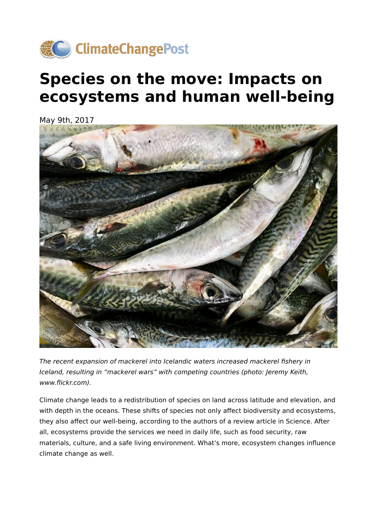

# **Species on the move: Impacts on ecosystems and human well-being**

May 9th, 2017



The recent expansion of mackerel into Icelandic waters increased mackerel fishery in Iceland, resulting in "mackerel wars" with competing countries (photo: Jeremy Keith, www.flickr.com).

Climate change leads to a redistribution of species on land across latitude and elevation, and with depth in the oceans. These shifts of species not only affect biodiversity and ecosystems, they also affect our well-being, according to the authors of a review article in Science. After all, ecosystems provide the services we need in daily life, such as food security, raw materials, culture, and a safe living environment. What's more, ecosystem changes influence climate change as well.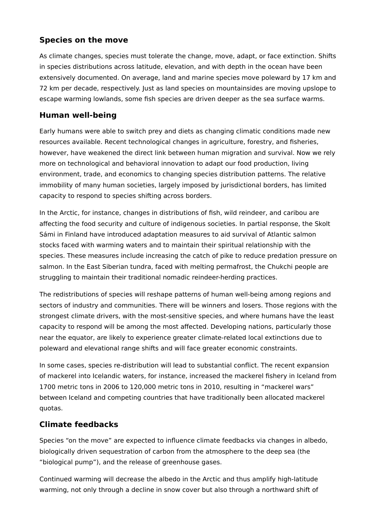## **Species on the move**

As climate changes, species must tolerate the change, move, adapt, or face extinction. Shifts in species distributions across latitude, elevation, and with depth in the ocean have been extensively documented. On average, land and marine species move poleward by 17 km and 72 km per decade, respectively. Just as land species on mountainsides are moving upslope to escape warming lowlands, some fish species are driven deeper as the sea surface warms.

## **Human well-being**

Early humans were able to switch prey and diets as changing climatic conditions made new resources available. Recent technological changes in agriculture, forestry, and fisheries, however, have weakened the direct link between human migration and survival. Now we rely more on technological and behavioral innovation to adapt our food production, living environment, trade, and economics to changing species distribution patterns. The relative immobility of many human societies, largely imposed by jurisdictional borders, has limited capacity to respond to species shifting across borders.

In the Arctic, for instance, changes in distributions of fish, wild reindeer, and caribou are affecting the food security and culture of indigenous societies. In partial response, the Skolt Sámi in Finland have introduced adaptation measures to aid survival of Atlantic salmon stocks faced with warming waters and to maintain their spiritual relationship with the species. These measures include increasing the catch of pike to reduce predation pressure on salmon. In the East Siberian tundra, faced with melting permafrost, the Chukchi people are struggling to maintain their traditional nomadic reindeer-herding practices.

The redistributions of species will reshape patterns of human well-being among regions and sectors of industry and communities. There will be winners and losers. Those regions with the strongest climate drivers, with the most-sensitive species, and where humans have the least capacity to respond will be among the most affected. Developing nations, particularly those near the equator, are likely to experience greater climate-related local extinctions due to poleward and elevational range shifts and will face greater economic constraints.

In some cases, species re-distribution will lead to substantial conflict. The recent expansion of mackerel into Icelandic waters, for instance, increased the mackerel fishery in Iceland from 1700 metric tons in 2006 to 120,000 metric tons in 2010, resulting in "mackerel wars" between Iceland and competing countries that have traditionally been allocated mackerel quotas.

# **Climate feedbacks**

Species "on the move" are expected to influence climate feedbacks via changes in albedo, biologically driven sequestration of carbon from the atmosphere to the deep sea (the "biological pump"), and the release of greenhouse gases.

Continued warming will decrease the albedo in the Arctic and thus amplify high-latitude warming, not only through a decline in snow cover but also through a northward shift of